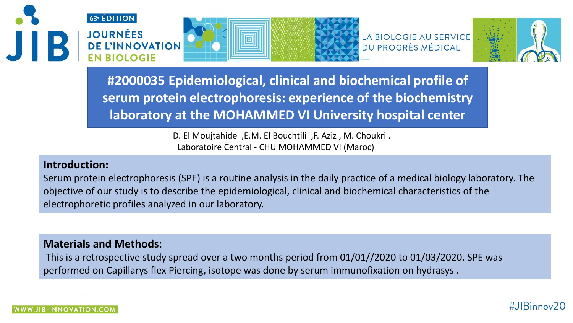



LA BIOLOGIE AU SERVICE DU PROGRÈS MÉDICAL



**#2000035 Epidemiological, clinical and biochemical profile of serum protein electrophoresis: experience of the biochemistry laboratory at the MOHAMMED VI University hospital center**

> D. El Moujtahide ,E.M. El Bouchtili ,F. Aziz , M. Choukri . Laboratoire Central - CHU MOHAMMED VI (Maroc)

# **Introduction:**

Serum protein electrophoresis (SPE) is a routine analysis in the daily practice of a medical biology laboratory. The objective of our study is to describe the epidemiological, clinical and biochemical characteristics of the electrophoretic profiles analyzed in our laboratory.

## **Materials and Methods**:

This is a retrospective study spread over a two months period from 01/01//2020 to 01/03/2020. SPE was performed on Capillarys flex Piercing, isotope was done by serum immunofixation on hydrasys .